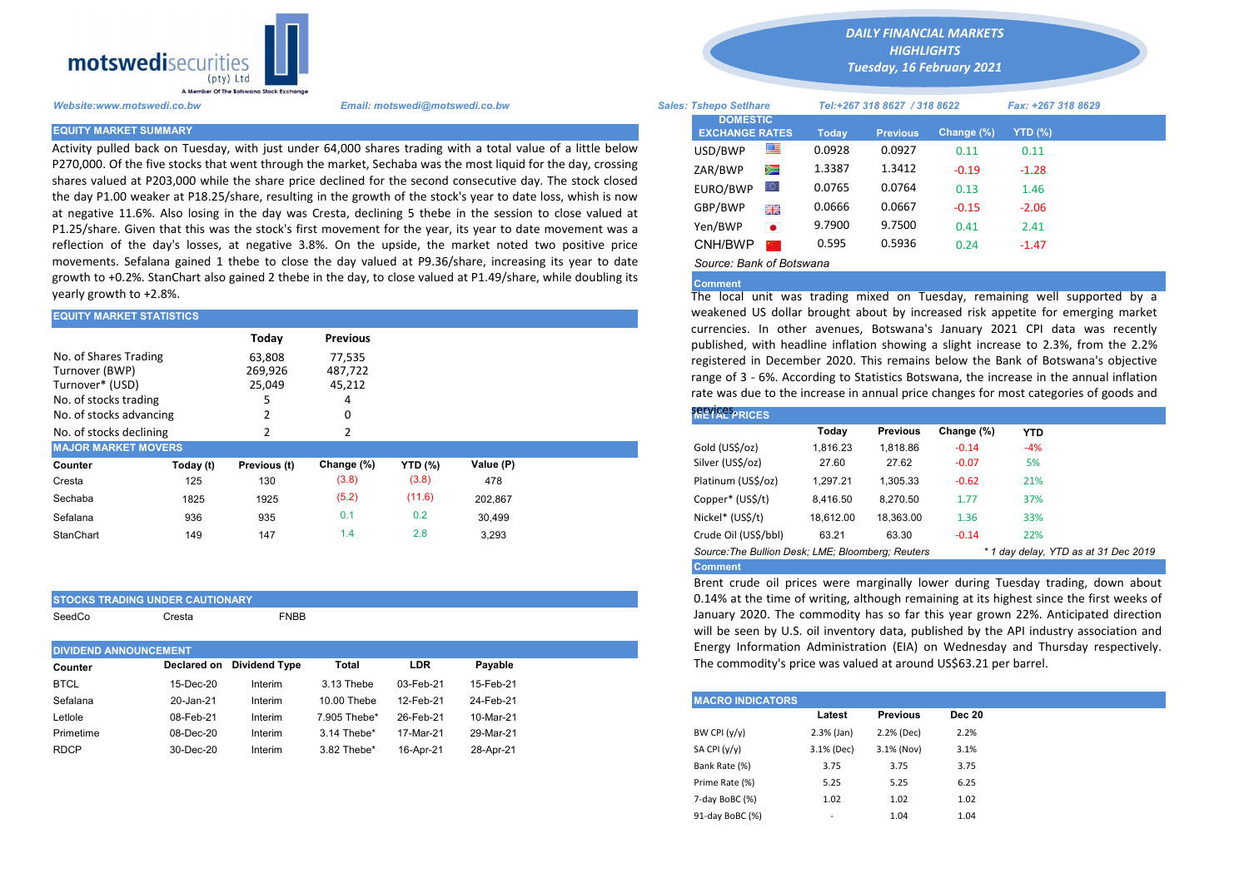

Activity pulled back on Tuesday, with just under 64,000 shares trading with a total value of a little below P270,000. Of the five stocks that went through the market, Sechaba was the most liquid for the day, crossing shares valued at P203,000 while the share price declined for the second consecutive day. The stock closed the day P1.00 weaker at P18.25/share, resulting in the growth of the stock's year to date loss, whish is now at negative 11.6%. Also losing in the day was Cresta, declining 5 thebe in the session to close valued at P1.25/share. Given that this was the stock's first movement for the year, its year to date movement was a reflection of the day's losses, at negative 3.8%. On the upside, the market noted two positive price movements. Sefalana gained 1 thebe to close the day valued at P9.36/share, increasing its year to date growth to +0.2%. StanChart also gained 2 thebe in the day, to close valued at P1.49/share, while doubling its yearly growth to +2.8%.

| <b>EQUITY MARKET STATISTICS</b>                            |           |                                      |                                                | weakened US dollar brought about by increased risk appetite for e |           |                                                                                                                                                                                                                                                                                                                                                              |
|------------------------------------------------------------|-----------|--------------------------------------|------------------------------------------------|-------------------------------------------------------------------|-----------|--------------------------------------------------------------------------------------------------------------------------------------------------------------------------------------------------------------------------------------------------------------------------------------------------------------------------------------------------------------|
| No. of Shares Trading<br>Turnover (BWP)<br>Turnover* (USD) |           | Today<br>63,808<br>269,926<br>25,049 | <b>Previous</b><br>77.535<br>487,722<br>45,212 |                                                                   |           | currencies. In other avenues, Botswana's January 2021 CPI dat<br>published, with headline inflation showing a slight increase to 2.3%<br>registered in December 2020. This remains below the Bank of Bots<br>range of 3 - 6%. According to Statistics Botswana, the increase in the<br>rate was due to the increase in annual price changes for most categor |
| No. of stocks trading                                      |           |                                      |                                                |                                                                   |           |                                                                                                                                                                                                                                                                                                                                                              |
| No. of stocks advancing                                    |           |                                      |                                                |                                                                   |           | <b>SELVICES PRICES</b>                                                                                                                                                                                                                                                                                                                                       |
| No. of stocks declining                                    |           |                                      |                                                |                                                                   |           | <b>Previous</b><br>Change (%)<br>Today<br><b>YTD</b>                                                                                                                                                                                                                                                                                                         |
| <b>MAJOR MARKET MOVERS</b>                                 |           |                                      |                                                |                                                                   |           | Gold (US\$/oz)<br>1,816.23<br>1,818.86<br>$-0.14$<br>$-4%$                                                                                                                                                                                                                                                                                                   |
| Counter                                                    | Today (t) | Previous (t)                         | Change (%)                                     | <b>YTD (%)</b>                                                    | Value (P) | Silver (US\$/oz)<br>5%<br>27.62<br>$-0.07$<br>27.60                                                                                                                                                                                                                                                                                                          |
| Cresta                                                     | 125       | 130                                  | (3.8)                                          | (3.8)                                                             | 478       | Platinum (US\$/oz)<br>21%<br>1,297.21<br>1,305.33<br>$-0.62$                                                                                                                                                                                                                                                                                                 |
| Sechaba                                                    | 1825      | 1925                                 | (5.2)                                          | (11.6)                                                            | 202,867   | 37%<br>Copper* (US\$/t)<br>8,416.50<br>8,270.50<br>1.77                                                                                                                                                                                                                                                                                                      |
| Sefalana                                                   | 936       | 935                                  | 0.1                                            | 0.2                                                               | 30.499    | Nickel* (US\$/t)<br>33%<br>18,612.00<br>18.363.00<br>1.36                                                                                                                                                                                                                                                                                                    |
| StanChart                                                  | 149       | 147                                  | 1.4                                            | 2.8                                                               | 3,293     | Crude Oil (US\$/bbl)<br>22%<br>63.30<br>63.21<br>$-0.14$                                                                                                                                                                                                                                                                                                     |
|                                                            |           |                                      |                                                |                                                                   |           |                                                                                                                                                                                                                                                                                                                                                              |

|        | <b>STOCKS TRADING UNDER CAUTIONARY</b> |             |
|--------|----------------------------------------|-------------|
| SeedCo | Cresta                                 | <b>FNBB</b> |

|                |                         | Energy Information Administration (EIA) on Wedne    |
|----------------|-------------------------|-----------------------------------------------------|
|                |                         | The commodity's price was valued at around US\$63.2 |
|                |                         |                                                     |
|                | <b>MACRO INDICATORS</b> |                                                     |
|                | Latest                  | <b>Previous</b>                                     |
| BW CPI $(y/y)$ | $2.3%$ (Jan)            | 2.2% (Dec)                                          |
| SA CPI (y/y)   | 3.1% (Dec)              | 3.1% (Nov)                                          |
|                |                         |                                                     |

*DAILY FINANCIAL MARKETS*

*HIGHLIGHTS Tuesday, 16 February 2021* 

| A Member Of the Boiswand Slock Exchange |                                                                                                                                                                                                                           |                                          |           |                              |                 |            |                    |  |
|-----------------------------------------|---------------------------------------------------------------------------------------------------------------------------------------------------------------------------------------------------------------------------|------------------------------------------|-----------|------------------------------|-----------------|------------|--------------------|--|
| Website:www.motswedi.co.bw              | Email: motswedi@motswedi.co.bw                                                                                                                                                                                            | <b>Sales: Tshepo Setlhare</b>            |           | Tel:+267 318 8627 / 318 8622 |                 |            | Fax: +267 318 8629 |  |
| <b>EQUITY MARKET SUMMARY</b>            |                                                                                                                                                                                                                           | <b>DOMESTIC</b><br><b>EXCHANGE RATES</b> |           | <b>Today</b>                 | <b>Previous</b> | Change (%) | YTD (%)            |  |
|                                         | Activity pulled back on Tuesday, with just under 64,000 shares trading with a total value of a little below                                                                                                               | USD/BWP                                  | ≝         | 0.0928                       | 0.0927          | 0.11       | 0.11               |  |
|                                         | P270,000. Of the five stocks that went through the market, Sechaba was the most liquid for the day, crossing                                                                                                              | ZAR/BWP                                  | Ň         | 1.3387                       | 1.3412          | $-0.19$    | $-1.28$            |  |
|                                         | shares valued at P203,000 while the share price declined for the second consecutive day. The stock closed<br>the day P1.00 weaker at P18.25/share, resulting in the growth of the stock's year to date loss, whish is now | EURO/BWP                                 | w         | 0.0765                       | 0.0764          | 0.13       | 1.46               |  |
|                                         | at negative 11.6%. Also losing in the day was Cresta, declining 5 thebe in the session to close valued at                                                                                                                 | GBP/BWP                                  | 開開        | 0.0666                       | 0.0667          | $-0.15$    | $-2.06$            |  |
|                                         | P1.25/share. Given that this was the stock's first movement for the year, its year to date movement was a                                                                                                                 | Yen/BWP                                  | $\bullet$ | 9.7900                       | 9.7500          | 0.41       | 2.41               |  |
|                                         | reflection of the day's losses, at negative 3.8%. On the upside, the market noted two positive price                                                                                                                      | CNH/BWP                                  |           | 0.595                        | 0.5936          | 0.24       | $-1.47$            |  |
|                                         | movements. Sefalana gained 1 thebe to close the day valued at P9.36/share, increasing its year to date                                                                                                                    | Source: Bank of Botswana                 |           |                              |                 |            |                    |  |

## **Comment**

The local unit was trading mixed on Tuesday, remaining well supported by a weakened US dollar brought about by increased risk appetite for emerging market currencies. In other avenues, Botswana's January 2021 CPI data was recently published, with headline inflation showing a slight increase to 2.3%, from the 2.2% registered in December 2020. This remains below the Bank of Botswana's objective range of 3 - 6%. According to Statistics Botswana, the increase in the annual inflation rate was due to the increase in annual price changes for most categories of goods and

| <b>SELVICES PRICES</b>                                                                    |           |                 |            |            |  |  |  |  |  |  |
|-------------------------------------------------------------------------------------------|-----------|-----------------|------------|------------|--|--|--|--|--|--|
|                                                                                           | Today     | <b>Previous</b> | Change (%) | <b>YTD</b> |  |  |  |  |  |  |
| Gold (US\$/oz)                                                                            | 1,816.23  | 1.818.86        | $-0.14$    | $-4%$      |  |  |  |  |  |  |
| Silver (US\$/oz)                                                                          | 27.60     | 27.62           | $-0.07$    | 5%         |  |  |  |  |  |  |
| Platinum (US\$/oz)                                                                        | 1.297.21  | 1.305.33        | $-0.62$    | 21%        |  |  |  |  |  |  |
| Copper* (US\$/t)                                                                          | 8,416.50  | 8,270.50        | 1.77       | 37%        |  |  |  |  |  |  |
| Nickel* (US\$/t)                                                                          | 18,612.00 | 18,363.00       | 1.36       | 33%        |  |  |  |  |  |  |
| Crude Oil (US\$/bbl)                                                                      | 63.21     | 63.30           | $-0.14$    | 22%        |  |  |  |  |  |  |
| Source: The Bullion Desk: LME: Bloomberg: Reuters<br>* 1 day delay, YTD as at 31 Dec 2019 |           |                 |            |            |  |  |  |  |  |  |
| <b>Comment</b>                                                                            |           |                 |            |            |  |  |  |  |  |  |

Brent crude oil prices were marginally lower during Tuesday trading, down about 0.14% at the time of writing, although remaining at its highest since the first weeks of January 2020. The commodity has so far this year grown 22%. Anticipated direction will be seen by U.S. oil inventory data, published by the API industry association and Energy Information Administration (EIA) on Wednesday and Thursday respectively. The commodity's price was valued at around US\$63.21 per barrel.

| <b>MACRO INDICATORS</b> |              |                 |               |
|-------------------------|--------------|-----------------|---------------|
|                         | Latest       | <b>Previous</b> | <b>Dec 20</b> |
| BW CPI $(y/y)$          | $2.3%$ (Jan) | 2.2% (Dec)      | 2.2%          |
| SA CPI $(y/y)$          | 3.1% (Dec)   | 3.1% (Nov)      | 3.1%          |
| Bank Rate (%)           | 3.75         | 3.75            | 3.75          |
| Prime Rate (%)          | 5.25         | 5.25            | 6.25          |
| 7-day BoBC (%)          | 1.02         | 1.02            | 1.02          |
| 91-day BoBC (%)         | -            | 1.04            | 1.04          |